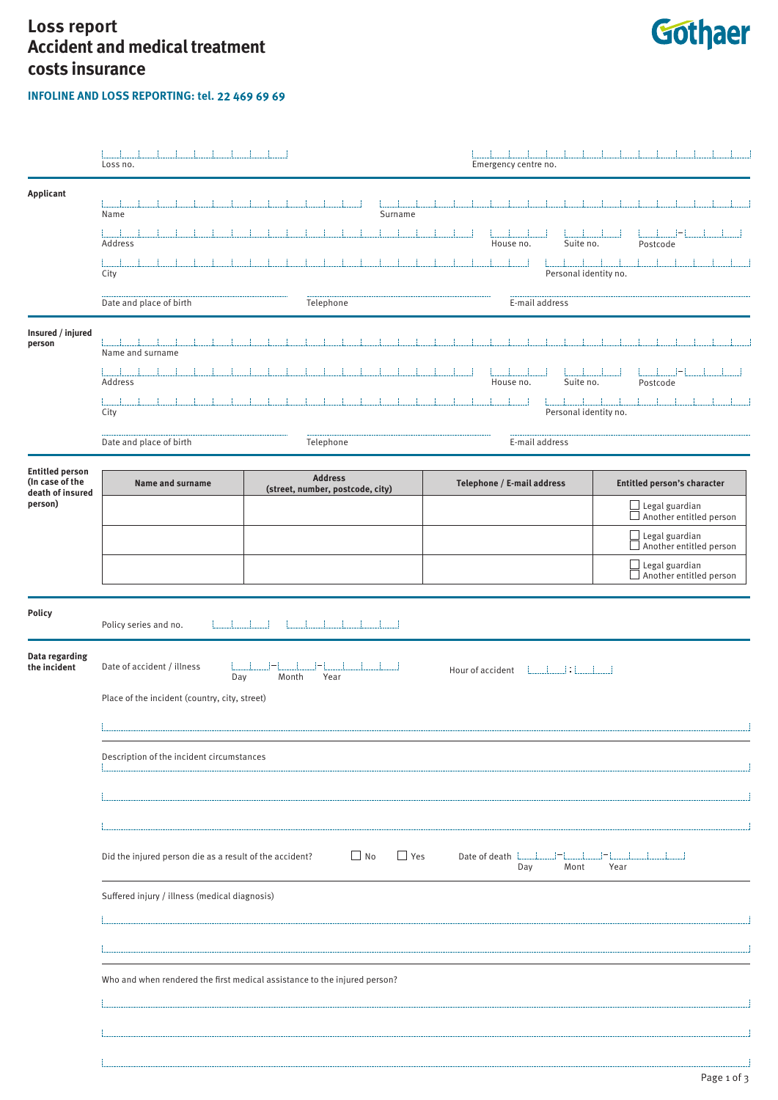## **Loss report Accident and medical treatment costs insurance**

**INFOLINE AND LOSS REPORTING: tel. 22 469 69 69** 



|                                                               | Loss no.                                                                                                                                                                     |                                                    | Emergency centre no.       |                                                               |  |  |  |  |
|---------------------------------------------------------------|------------------------------------------------------------------------------------------------------------------------------------------------------------------------------|----------------------------------------------------|----------------------------|---------------------------------------------------------------|--|--|--|--|
| Applicant                                                     | Name                                                                                                                                                                         | Surname                                            |                            |                                                               |  |  |  |  |
|                                                               | Address                                                                                                                                                                      |                                                    | Suite no.<br>House no.     | Postcode                                                      |  |  |  |  |
|                                                               | City                                                                                                                                                                         |                                                    | Personal identity no.      |                                                               |  |  |  |  |
|                                                               | Date and place of birth                                                                                                                                                      | Telephone                                          | E-mail address             |                                                               |  |  |  |  |
| Insured / injured<br>person                                   | Name and surname                                                                                                                                                             |                                                    |                            |                                                               |  |  |  |  |
|                                                               | Address                                                                                                                                                                      |                                                    | Suite no.<br>House no.     | Postcode                                                      |  |  |  |  |
|                                                               | City                                                                                                                                                                         |                                                    | Personal identity no.      |                                                               |  |  |  |  |
|                                                               | Date and place of birth                                                                                                                                                      | Telephone                                          | E-mail address             |                                                               |  |  |  |  |
| <b>Entitled person</b><br>(In case of the<br>death of insured | <b>Name and surname</b>                                                                                                                                                      | <b>Address</b><br>(street, number, postcode, city) | Telephone / E-mail address | Entitled person's character                                   |  |  |  |  |
| person)                                                       |                                                                                                                                                                              |                                                    |                            | $\boxed{\fbox{$\geq$ legal guarian}}$ Another entitled person |  |  |  |  |
|                                                               |                                                                                                                                                                              |                                                    |                            | Legal guardian<br>Another entitled person                     |  |  |  |  |
|                                                               |                                                                                                                                                                              |                                                    |                            | Legal guardian<br>Another entitled person                     |  |  |  |  |
| <b>Policy</b>                                                 | Policy series and no.                                                                                                                                                        |                                                    |                            |                                                               |  |  |  |  |
| Data regarding<br>the incident                                | Date of accident / illness<br>Day<br>Month<br>Year                                                                                                                           |                                                    |                            |                                                               |  |  |  |  |
|                                                               | Place of the incident (country, city, street)                                                                                                                                |                                                    |                            |                                                               |  |  |  |  |
|                                                               |                                                                                                                                                                              |                                                    |                            |                                                               |  |  |  |  |
|                                                               |                                                                                                                                                                              |                                                    |                            |                                                               |  |  |  |  |
|                                                               |                                                                                                                                                                              |                                                    |                            |                                                               |  |  |  |  |
|                                                               |                                                                                                                                                                              |                                                    |                            |                                                               |  |  |  |  |
|                                                               | $\Box$ No<br>$\Box$ Yes<br>Did the injured person die as a result of the accident?<br>$\sim$ 1-1 $\sim$ 1<br>$ -1$ $-1$<br>Date of death <b>Later</b><br>Day<br>Mont<br>Year |                                                    |                            |                                                               |  |  |  |  |
|                                                               | Suffered injury / illness (medical diagnosis)                                                                                                                                |                                                    |                            |                                                               |  |  |  |  |
|                                                               |                                                                                                                                                                              |                                                    |                            |                                                               |  |  |  |  |
|                                                               |                                                                                                                                                                              |                                                    |                            |                                                               |  |  |  |  |
|                                                               | Who and when rendered the first medical assistance to the injured person?                                                                                                    |                                                    |                            |                                                               |  |  |  |  |
|                                                               |                                                                                                                                                                              |                                                    |                            |                                                               |  |  |  |  |
|                                                               |                                                                                                                                                                              |                                                    |                            |                                                               |  |  |  |  |
|                                                               |                                                                                                                                                                              |                                                    |                            |                                                               |  |  |  |  |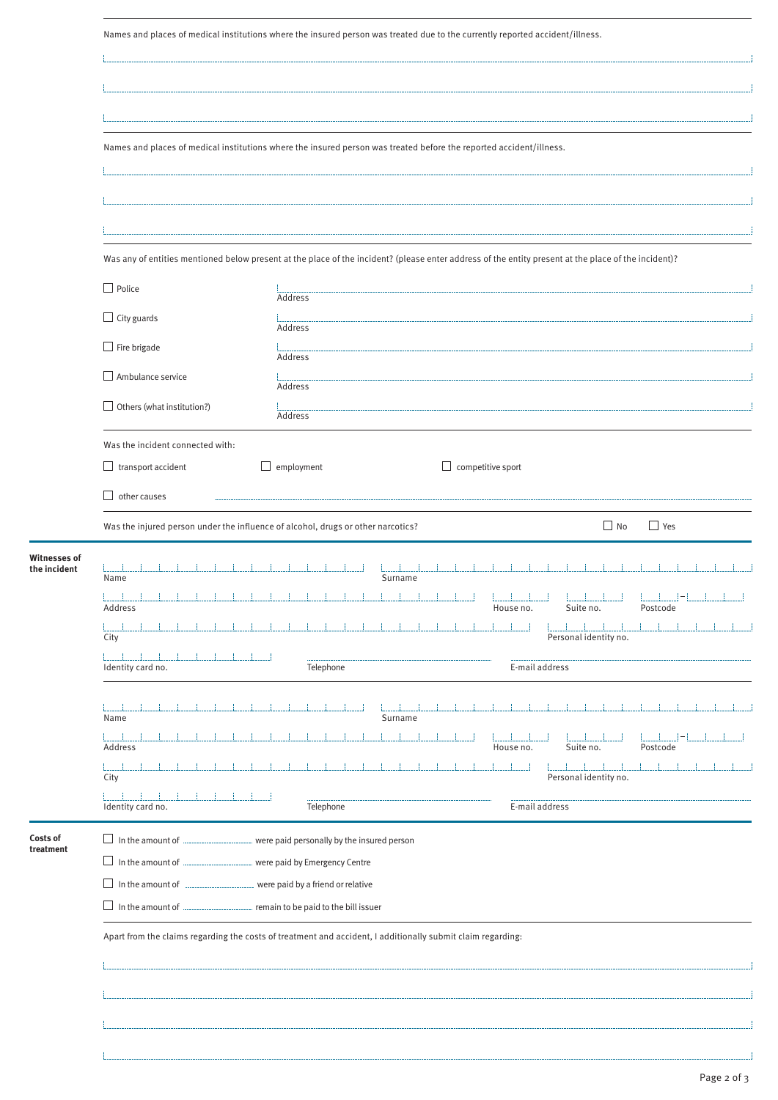|                              | Names and places of medical institutions where the insured person was treated due to the currently reported accident/illness.                        |                                                                    |                          |                       |            |  |  |
|------------------------------|------------------------------------------------------------------------------------------------------------------------------------------------------|--------------------------------------------------------------------|--------------------------|-----------------------|------------|--|--|
|                              |                                                                                                                                                      |                                                                    |                          |                       |            |  |  |
|                              | Names and places of medical institutions where the insured person was treated before the reported accident/illness.                                  |                                                                    |                          |                       |            |  |  |
|                              |                                                                                                                                                      |                                                                    |                          |                       |            |  |  |
|                              |                                                                                                                                                      |                                                                    |                          |                       |            |  |  |
|                              | Was any of entities mentioned below present at the place of the incident? (please enter address of the entity present at the place of the incident)? |                                                                    |                          |                       |            |  |  |
|                              | $\Box$ Police                                                                                                                                        | Address                                                            |                          |                       |            |  |  |
|                              | $\Box$ City guards                                                                                                                                   | Address                                                            |                          |                       |            |  |  |
|                              | $\Box$ Fire brigade                                                                                                                                  | Address                                                            |                          |                       |            |  |  |
|                              | $\Box$ Ambulance service                                                                                                                             | Address                                                            |                          |                       |            |  |  |
|                              | $\Box$ Others (what institution?)                                                                                                                    | Address                                                            |                          |                       |            |  |  |
|                              | Was the incident connected with:<br>$\Box$ transport accident                                                                                        | $\Box$ employment                                                  | $\Box$ competitive sport |                       |            |  |  |
|                              | other causes<br>$\perp$                                                                                                                              |                                                                    |                          |                       |            |  |  |
|                              | Was the injured person under the influence of alcohol, drugs or other narcotics?                                                                     |                                                                    |                          | $\Box$ No             | $\Box$ Yes |  |  |
| Witnesses of<br>the incident | Name                                                                                                                                                 | Surname                                                            |                          |                       |            |  |  |
|                              | Address                                                                                                                                              | and the first control of the first con-                            | House no.                | Suite no.             | Postcode   |  |  |
|                              | City                                                                                                                                                 |                                                                    |                          | Personal identity no. |            |  |  |
|                              | Identity card no.                                                                                                                                    | Telephone                                                          | E-mail address           |                       |            |  |  |
|                              | Name                                                                                                                                                 | Surname                                                            |                          |                       |            |  |  |
|                              | Address                                                                                                                                              |                                                                    | House no.                | Suite no.             | Postcode   |  |  |
|                              | City                                                                                                                                                 |                                                                    |                          | Personal identity no. |            |  |  |
|                              | Identity card no.                                                                                                                                    | Telephone                                                          | E-mail address           |                       |            |  |  |
| Costs of<br>treatment        | $\Box$ In the amount of $\Box$                                                                                                                       | were paid personally by the insured person                         |                          |                       |            |  |  |
|                              | In the amount of <b>Fig. 2016</b><br>In the amount of <b>International E</b>                                                                         | were paid by Emergency Centre<br>were paid by a friend or relative |                          |                       |            |  |  |
|                              | $\Box$ In the amount of $\Box$<br>remain to be paid to the bill issuer                                                                               |                                                                    |                          |                       |            |  |  |
|                              | Apart from the claims regarding the costs of treatment and accident, I additionally submit claim regarding:                                          |                                                                    |                          |                       |            |  |  |
|                              |                                                                                                                                                      |                                                                    |                          |                       |            |  |  |
|                              |                                                                                                                                                      |                                                                    |                          |                       |            |  |  |
|                              |                                                                                                                                                      |                                                                    |                          |                       |            |  |  |
|                              |                                                                                                                                                      |                                                                    |                          |                       |            |  |  |